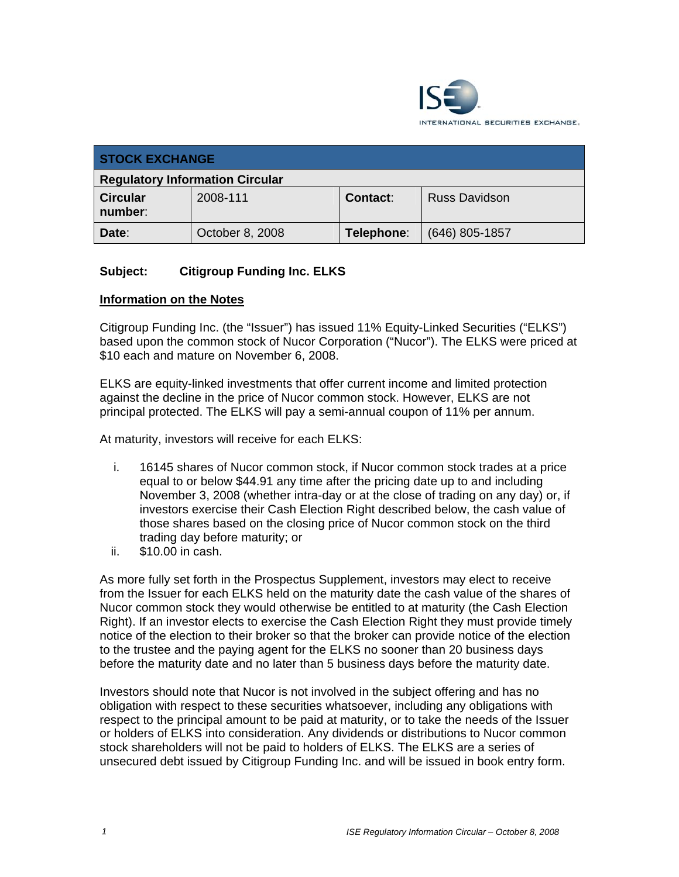

| <b>STOCK EXCHANGE</b>                  |                 |            |                      |
|----------------------------------------|-----------------|------------|----------------------|
| <b>Regulatory Information Circular</b> |                 |            |                      |
| <b>Circular</b><br>number:             | 2008-111        | Contact:   | <b>Russ Davidson</b> |
| Date:                                  | October 8, 2008 | Telephone: | $(646)$ 805-1857     |

## **Subject: Citigroup Funding Inc. ELKS**

#### **Information on the Notes**

Citigroup Funding Inc. (the "Issuer") has issued 11% Equity-Linked Securities ("ELKS") based upon the common stock of Nucor Corporation ("Nucor"). The ELKS were priced at \$10 each and mature on November 6, 2008.

ELKS are equity-linked investments that offer current income and limited protection against the decline in the price of Nucor common stock. However, ELKS are not principal protected. The ELKS will pay a semi-annual coupon of 11% per annum.

At maturity, investors will receive for each ELKS:

- i. 16145 shares of Nucor common stock, if Nucor common stock trades at a price equal to or below \$44.91 any time after the pricing date up to and including November 3, 2008 (whether intra-day or at the close of trading on any day) or, if investors exercise their Cash Election Right described below, the cash value of those shares based on the closing price of Nucor common stock on the third trading day before maturity; or
- ii. \$10.00 in cash.

As more fully set forth in the Prospectus Supplement, investors may elect to receive from the Issuer for each ELKS held on the maturity date the cash value of the shares of Nucor common stock they would otherwise be entitled to at maturity (the Cash Election Right). If an investor elects to exercise the Cash Election Right they must provide timely notice of the election to their broker so that the broker can provide notice of the election to the trustee and the paying agent for the ELKS no sooner than 20 business days before the maturity date and no later than 5 business days before the maturity date.

Investors should note that Nucor is not involved in the subject offering and has no obligation with respect to these securities whatsoever, including any obligations with respect to the principal amount to be paid at maturity, or to take the needs of the Issuer or holders of ELKS into consideration. Any dividends or distributions to Nucor common stock shareholders will not be paid to holders of ELKS. The ELKS are a series of unsecured debt issued by Citigroup Funding Inc. and will be issued in book entry form.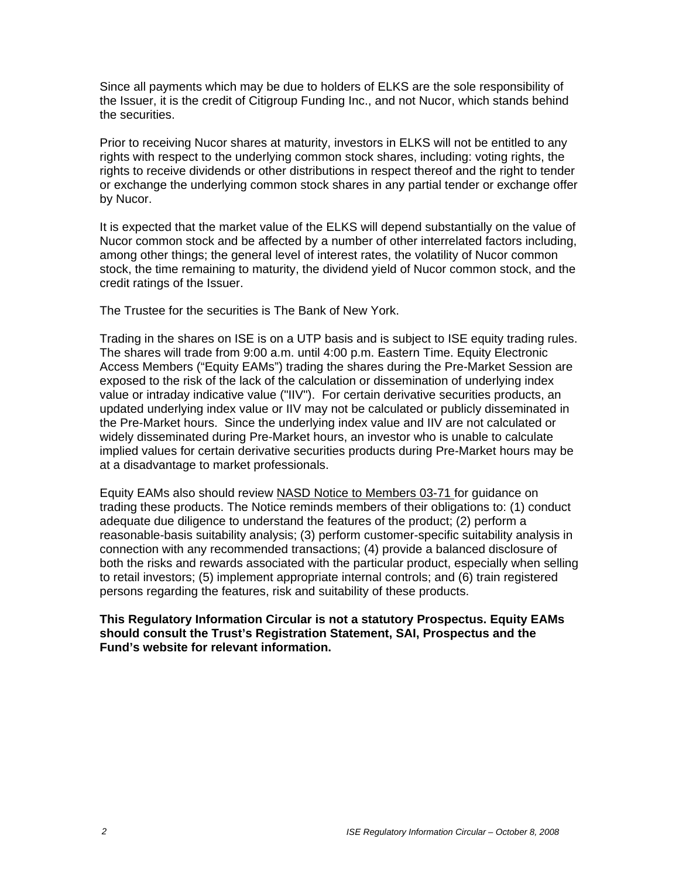Since all payments which may be due to holders of ELKS are the sole responsibility of the Issuer, it is the credit of Citigroup Funding Inc., and not Nucor, which stands behind the securities.

Prior to receiving Nucor shares at maturity, investors in ELKS will not be entitled to any rights with respect to the underlying common stock shares, including: voting rights, the rights to receive dividends or other distributions in respect thereof and the right to tender or exchange the underlying common stock shares in any partial tender or exchange offer by Nucor.

It is expected that the market value of the ELKS will depend substantially on the value of Nucor common stock and be affected by a number of other interrelated factors including, among other things; the general level of interest rates, the volatility of Nucor common stock, the time remaining to maturity, the dividend yield of Nucor common stock, and the credit ratings of the Issuer.

The Trustee for the securities is The Bank of New York.

Trading in the shares on ISE is on a UTP basis and is subject to ISE equity trading rules. The shares will trade from 9:00 a.m. until 4:00 p.m. Eastern Time. Equity Electronic Access Members ("Equity EAMs") trading the shares during the Pre-Market Session are exposed to the risk of the lack of the calculation or dissemination of underlying index value or intraday indicative value ("IIV"). For certain derivative securities products, an updated underlying index value or IIV may not be calculated or publicly disseminated in the Pre-Market hours. Since the underlying index value and IIV are not calculated or widely disseminated during Pre-Market hours, an investor who is unable to calculate implied values for certain derivative securities products during Pre-Market hours may be at a disadvantage to market professionals.

Equity EAMs also should review NASD Notice to Members 03-71 for guidance on trading these products. The Notice reminds members of their obligations to: (1) conduct adequate due diligence to understand the features of the product; (2) perform a reasonable-basis suitability analysis; (3) perform customer-specific suitability analysis in connection with any recommended transactions; (4) provide a balanced disclosure of both the risks and rewards associated with the particular product, especially when selling to retail investors; (5) implement appropriate internal controls; and (6) train registered persons regarding the features, risk and suitability of these products.

**This Regulatory Information Circular is not a statutory Prospectus. Equity EAMs should consult the Trust's Registration Statement, SAI, Prospectus and the Fund's website for relevant information.**